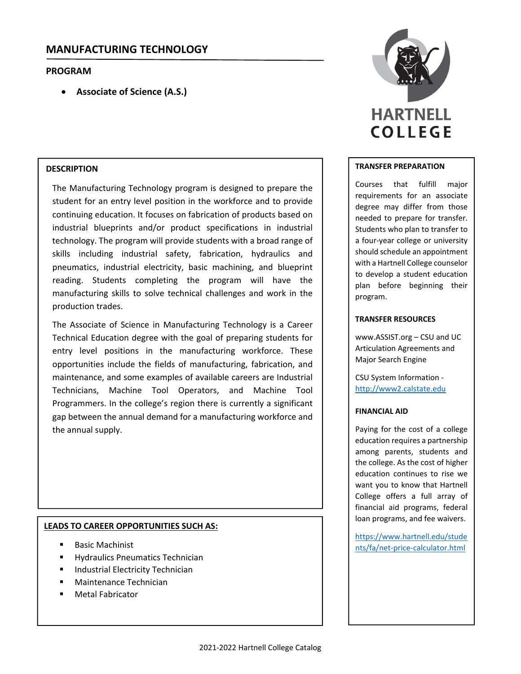# **MANUFACTURING TECHNOLOGY**

# **PROGRAM**

**Associate of Science (A.S.)**

# **DESCRIPTION**

The Manufacturing Technology program is designed to prepare the student for an entry level position in the workforce and to provide continuing education. It focuses on fabrication of products based on industrial blueprints and/or product specifications in industrial technology. The program will provide students with a broad range of skills including industrial safety, fabrication, hydraulics and pneumatics, industrial electricity, basic machining, and blueprint reading. Students completing the program will have the manufacturing skills to solve technical challenges and work in the production trades.

The Associate of Science in Manufacturing Technology is a Career Technical Education degree with the goal of preparing students for entry level positions in the manufacturing workforce. These opportunities include the fields of manufacturing, fabrication, and maintenance, and some examples of available careers are Industrial Technicians, Machine Tool Operators, and Machine Tool Programmers. In the college's region there is currently a significant gap between the annual demand for a manufacturing workforce and the annual supply.

## **LEADS TO CAREER OPPORTUNITIES SUCH AS:**

- Basic Machinist
- Hydraulics Pneumatics Technician
- Industrial Electricity Technician
- Maintenance Technician
- Metal Fabricator



## **TRANSFER PREPARATION**

Courses that fulfill major requirements for an associate degree may differ from those needed to prepare for transfer. Students who plan to transfer to a four‐year college or university should schedule an appointment with a Hartnell College counselor to develop a student education plan before beginning their program.

## **TRANSFER RESOURCES**

www.ASSIST.org – CSU and UC Articulation Agreements and Major Search Engine

CSU System Information ‐ http://www2.calstate.edu

#### **FINANCIAL AID**

Paying for the cost of a college education requires a partnership among parents, students and the college. As the cost of higher education continues to rise we want you to know that Hartnell College offers a full array of financial aid programs, federal loan programs, and fee waivers.

https://www.hartnell.edu/stude nts/fa/net‐price‐calculator.html